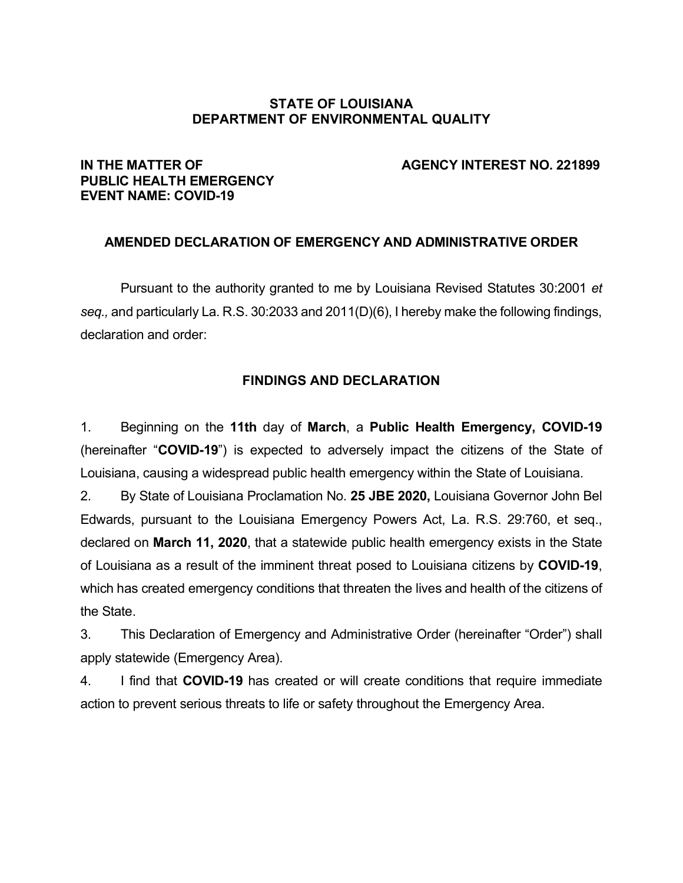#### **STATE OF LOUISIANA DEPARTMENT OF ENVIRONMENTAL QUALITY**

# **PUBLIC HEALTH EMERGENCY EVENT NAME: COVID-19**

#### **IN THE MATTER OF AGENCY INTEREST NO. 221899**

#### **AMENDED DECLARATION OF EMERGENCY AND ADMINISTRATIVE ORDER**

Pursuant to the authority granted to me by Louisiana Revised Statutes 30:2001 *et seq.,* and particularly La. R.S. 30:2033 and 2011(D)(6), I hereby make the following findings, declaration and order:

#### **FINDINGS AND DECLARATION**

1. Beginning on the **11th** day of **March**, a **Public Health Emergency, COVID-19** (hereinafter "**COVID-19**") is expected to adversely impact the citizens of the State of Louisiana, causing a widespread public health emergency within the State of Louisiana.

2. By State of Louisiana Proclamation No. **25 JBE 2020,** Louisiana Governor John Bel Edwards, pursuant to the Louisiana Emergency Powers Act, La. R.S. 29:760, et seq., declared on **March 11, 2020**, that a statewide public health emergency exists in the State of Louisiana as a result of the imminent threat posed to Louisiana citizens by **COVID-19**, which has created emergency conditions that threaten the lives and health of the citizens of the State.

3. This Declaration of Emergency and Administrative Order (hereinafter "Order") shall apply statewide (Emergency Area).

4. I find that **COVID-19** has created or will create conditions that require immediate action to prevent serious threats to life or safety throughout the Emergency Area.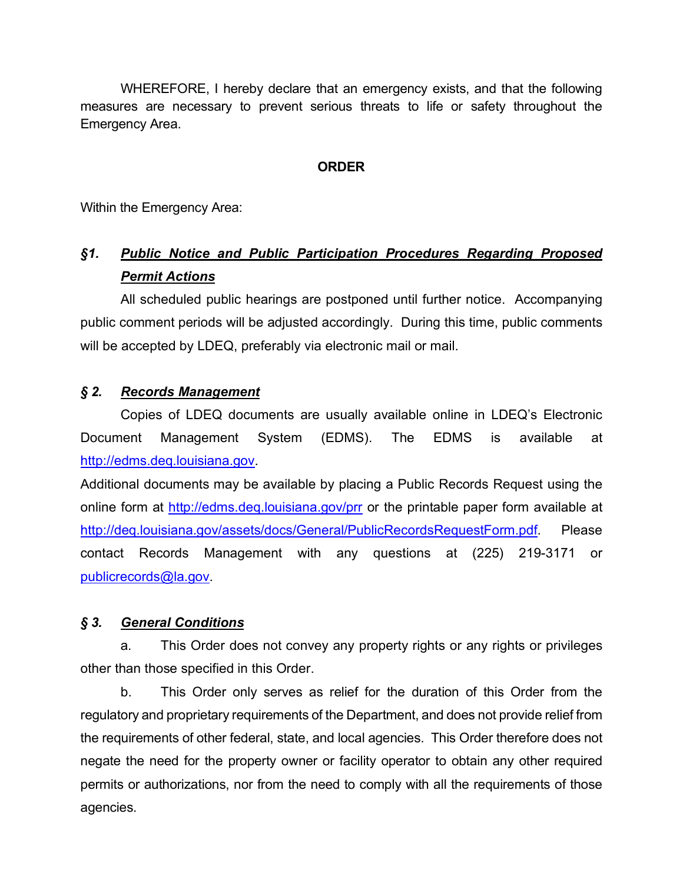WHEREFORE, I hereby declare that an emergency exists, and that the following measures are necessary to prevent serious threats to life or safety throughout the Emergency Area.

#### **ORDER**

Within the Emergency Area:

# *§1. Public Notice and Public Participation Procedures Regarding Proposed Permit Actions*

All scheduled public hearings are postponed until further notice. Accompanying public comment periods will be adjusted accordingly. During this time, public comments will be accepted by LDEQ, preferably via electronic mail or mail.

#### *§ 2. Records Management*

Copies of LDEQ documents are usually available online in LDEQ's Electronic Document Management System (EDMS). The EDMS is available at http://edms.deq.louisiana.gov.

Additional documents may be available by placing a Public Records Request using the online form at http://edms.deq.louisiana.gov/prr or the printable paper form available at http://deq.louisiana.gov/assets/docs/General/PublicRecordsRequestForm.pdf. Please contact Records Management with any questions at (225) 219-3171 or publicrecords@la.gov.

#### *§ 3. General Conditions*

a. This Order does not convey any property rights or any rights or privileges other than those specified in this Order.

b. This Order only serves as relief for the duration of this Order from the regulatory and proprietary requirements of the Department, and does not provide relief from the requirements of other federal, state, and local agencies. This Order therefore does not negate the need for the property owner or facility operator to obtain any other required permits or authorizations, nor from the need to comply with all the requirements of those agencies.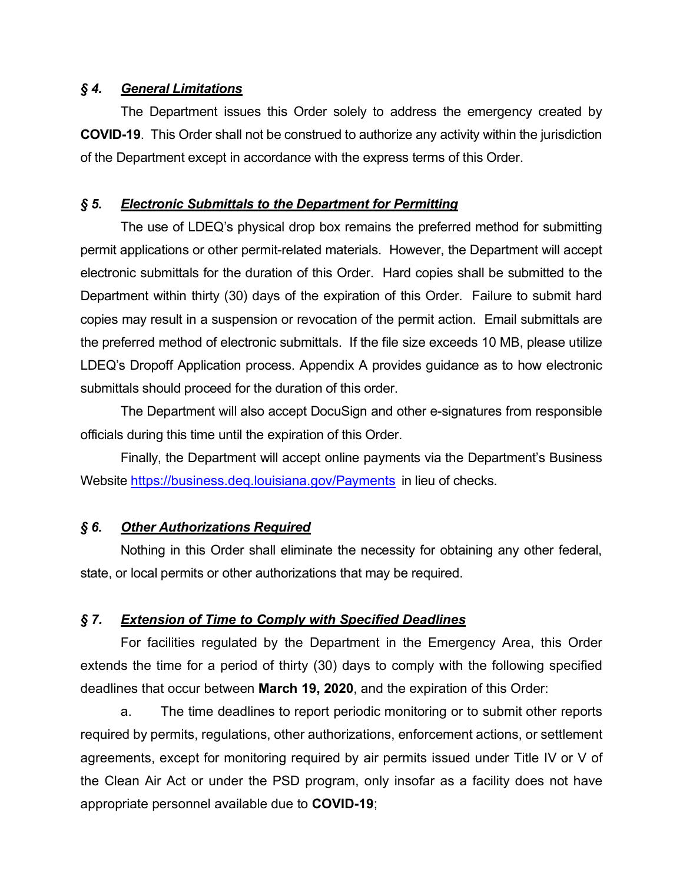#### *§ 4. General Limitations*

The Department issues this Order solely to address the emergency created by **COVID-19**. This Order shall not be construed to authorize any activity within the jurisdiction of the Department except in accordance with the express terms of this Order.

#### *§ 5. Electronic Submittals to the Department for Permitting*

The use of LDEQ's physical drop box remains the preferred method for submitting permit applications or other permit-related materials. However, the Department will accept electronic submittals for the duration of this Order. Hard copies shall be submitted to the Department within thirty (30) days of the expiration of this Order. Failure to submit hard copies may result in a suspension or revocation of the permit action. Email submittals are the preferred method of electronic submittals. If the file size exceeds 10 MB, please utilize LDEQ's Dropoff Application process. Appendix A provides guidance as to how electronic submittals should proceed for the duration of this order.

The Department will also accept DocuSign and other e-signatures from responsible officials during this time until the expiration of this Order.

Finally, the Department will accept online payments via the Department's Business Website https://business.deq.louisiana.gov/Payments in lieu of checks.

#### *§ 6. Other Authorizations Required*

Nothing in this Order shall eliminate the necessity for obtaining any other federal, state, or local permits or other authorizations that may be required.

# *§ 7. Extension of Time to Comply with Specified Deadlines*

For facilities regulated by the Department in the Emergency Area, this Order extends the time for a period of thirty (30) days to comply with the following specified deadlines that occur between **March 19, 2020**, and the expiration of this Order:

a. The time deadlines to report periodic monitoring or to submit other reports required by permits, regulations, other authorizations, enforcement actions, or settlement agreements, except for monitoring required by air permits issued under Title IV or V of the Clean Air Act or under the PSD program, only insofar as a facility does not have appropriate personnel available due to **COVID-19**;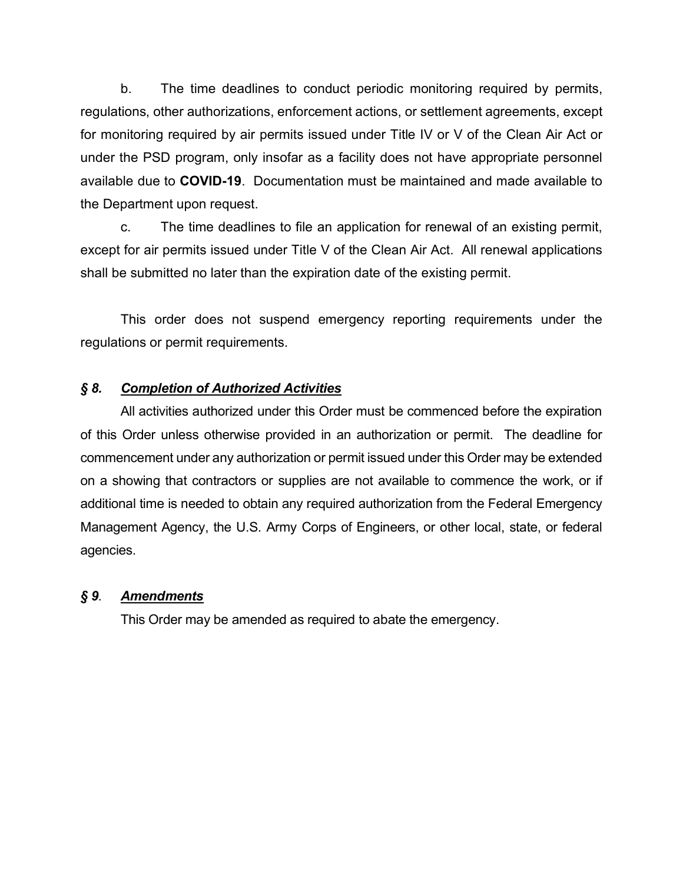b. The time deadlines to conduct periodic monitoring required by permits, regulations, other authorizations, enforcement actions, or settlement agreements, except for monitoring required by air permits issued under Title IV or V of the Clean Air Act or under the PSD program, only insofar as a facility does not have appropriate personnel available due to **COVID-19**. Documentation must be maintained and made available to the Department upon request.

c. The time deadlines to file an application for renewal of an existing permit, except for air permits issued under Title V of the Clean Air Act. All renewal applications shall be submitted no later than the expiration date of the existing permit.

This order does not suspend emergency reporting requirements under the regulations or permit requirements.

## *§ 8. Completion of Authorized Activities*

All activities authorized under this Order must be commenced before the expiration of this Order unless otherwise provided in an authorization or permit. The deadline for commencement under any authorization or permit issued under this Order may be extended on a showing that contractors or supplies are not available to commence the work, or if additional time is needed to obtain any required authorization from the Federal Emergency Management Agency, the U.S. Army Corps of Engineers, or other local, state, or federal agencies.

#### *§ 9. Amendments*

This Order may be amended as required to abate the emergency.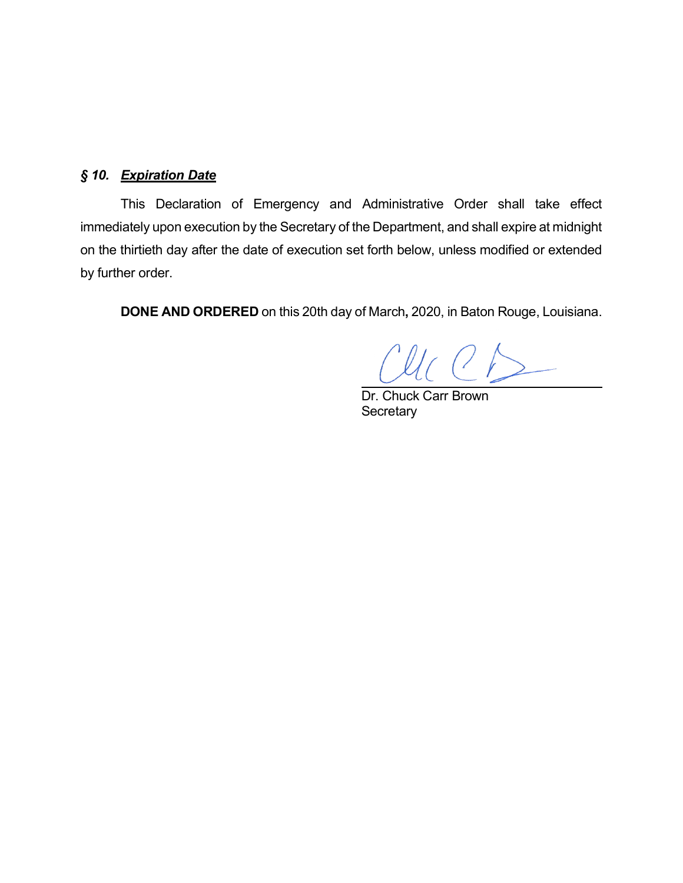## *§ 10. Expiration Date*

This Declaration of Emergency and Administrative Order shall take effect immediately upon execution by the Secretary of the Department, and shall expire at midnight on the thirtieth day after the date of execution set forth below, unless modified or extended by further order.

**DONE AND ORDERED** on this 20th day of March**,** 2020, in Baton Rouge, Louisiana.

 $U_C$   $C$  $D$ 

Dr. Chuck Carr Brown **Secretary**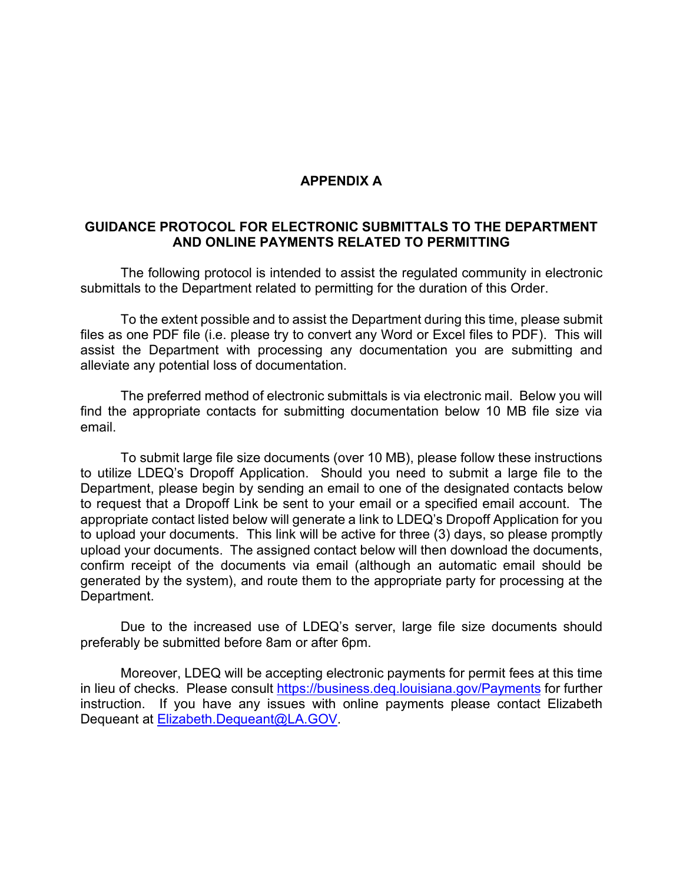#### **APPENDIX A**

#### **GUIDANCE PROTOCOL FOR ELECTRONIC SUBMITTALS TO THE DEPARTMENT AND ONLINE PAYMENTS RELATED TO PERMITTING**

The following protocol is intended to assist the regulated community in electronic submittals to the Department related to permitting for the duration of this Order.

To the extent possible and to assist the Department during this time, please submit files as one PDF file (i.e. please try to convert any Word or Excel files to PDF). This will assist the Department with processing any documentation you are submitting and alleviate any potential loss of documentation.

The preferred method of electronic submittals is via electronic mail. Below you will find the appropriate contacts for submitting documentation below 10 MB file size via email.

To submit large file size documents (over 10 MB), please follow these instructions to utilize LDEQ's Dropoff Application. Should you need to submit a large file to the Department, please begin by sending an email to one of the designated contacts below to request that a Dropoff Link be sent to your email or a specified email account. The appropriate contact listed below will generate a link to LDEQ's Dropoff Application for you to upload your documents. This link will be active for three (3) days, so please promptly upload your documents. The assigned contact below will then download the documents, confirm receipt of the documents via email (although an automatic email should be generated by the system), and route them to the appropriate party for processing at the Department.

Due to the increased use of LDEQ's server, large file size documents should preferably be submitted before 8am or after 6pm.

Moreover, LDEQ will be accepting electronic payments for permit fees at this time in lieu of checks. Please consult https://business.deq.louisiana.gov/Payments for further instruction. If you have any issues with online payments please contact Elizabeth Dequeant at Elizabeth.Dequeant@LA.GOV.